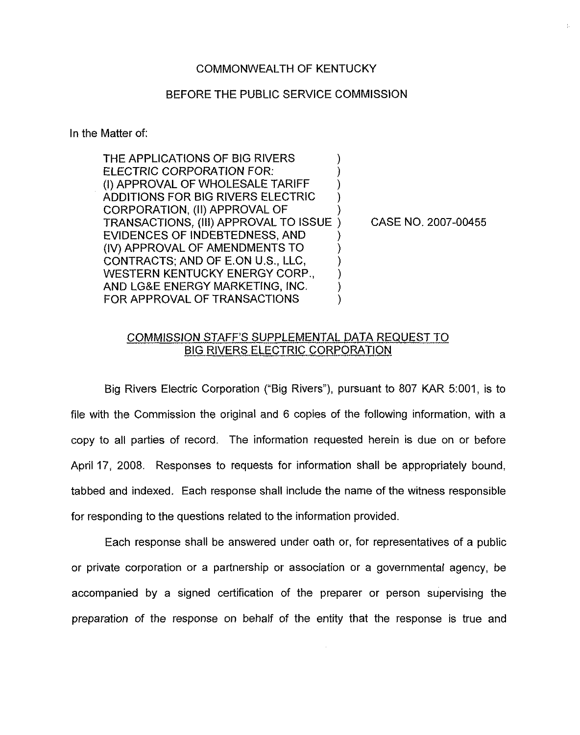#### COMMONWEALTH OF KENTUCKY

#### BEFORE THE PUBLIC SERVICE COMMISSION

In the Matter of:

THE APPLICATIONS OF BIG RIVERS ELECTRIC CORPORATION FOR: (I) APPROVAL OF WHOLESALE TARIFF ADDITIONS FOR BIG RIVERS ELECTRIC CORPORATION, (II) APPROVAL OF TRANSACTIONS, (Iii) APPROVAL TO ISSUE EVIDENCES OF INDEBTEDNESS, AND (IV) APPROVAL OF AMENDMENTS TO CONTRACTS; AND OF E.ON U.S., LLC, WESTERN KENTUCKY ENERGY CORP., AND LG&E ENERGY MARKETING, INC. FOR APPROVAL OF TRANSACTIONS ) ) ) ) ) ) ) ) ) ) )

) CASE NO. 2007-00455

### COMMISS!ON STAFF'S SUPPLEMENTAL DATA REQUEST TO BIG RIVERS ELECTRIC CORPORATION

Big Rivers Electric Corporation ("Big Rivers"), pursuant to 807 KAR 5:001, is to file with the Commission the original and 6 copies of the following information, with a copy to all parties of record. The information requested herein is due on or before April 17, 2008. Responses to requests for information shall be appropriately bound, tabbed and indexed. Each response shall include the name of the witness responsible for responding to the questions related to the information provided.

Each response shall be answered under oath or, for representatives of a public or private corporation or a partnership or association or a governmental agency, be accompanied by a signed certification of the preparer or person supervising the preparation of the response on behalf of the entity that the response is true and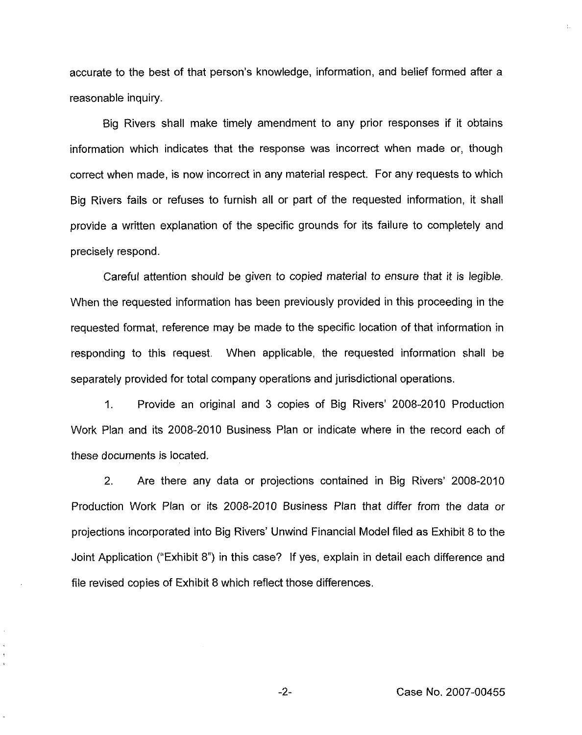accurate to the best of that person's knowledge, information, and belief formed after a reasonable inquiry.

Big Rivers shall make timely amendment to any prior responses if it obtains information which indicates that the response was incorrect when made or, though correct when made, is now incorrect in any material respect. For any requests to which Big Rivers fails or refuses to furnish all or part of the requested information, it shall provide a written explanation of the specific grounds for its failure to completely and precisely respond.

Careful attention should be given to copied material to ensure that it is legible. When the requested information has been previously provided in this proceeding in the requested format, reference may be made to the specific location of that information in responding to this request. When applicable, the requested information shall be separately provided for total company operations and jurisdictional operations,

1. Provide an original and 3 copies of Big Rivers' 2008-2010 Production Work Plan and its 2008-2010 Business Plan or indicate where in the record each of these documents is iocated.

2. Are there any data or projections contained in Big Rivers' 2008-2010 Production Work Plan or its 2008-2010 Business Plan that differ from the data or projections incorporated into Big Rivers' Unwind Financial Model filed as Exhibit 8 to the Joint Application ("Exhibit 8") in this case? If yes, explain in detail each difference and file revised copies of Exhibit 8 which reflect those differences.

Ł.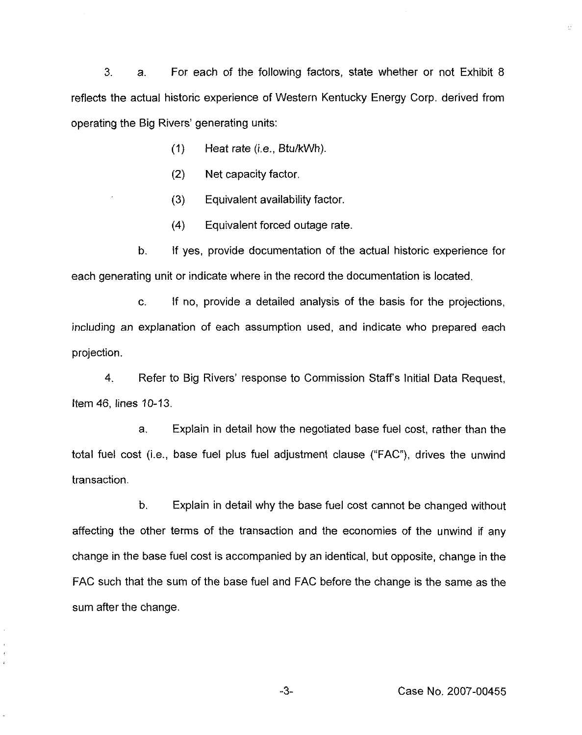3. a. For each of the following factors, state whether or not Exhibit 8 reflects the actual historic experience of Western Kentucky Energy Corp, derived from operating the Big Rivers' generating units:

- (1) Heat rate (i.e., Btu/kWh}.
- (2) Net capacity factor,
- (3) Equivalent availability factor,
- (4) Equivalent forced outage rate.

b. If yes, provide documentation of the actual historic experience for each generating unit or indicate where in the record the documentation is located.

c. If no, provide a detailed analysis of the basis for the projections, including an explanation of each assumption used, and indicate who prepared each projection.

4. Refer to Big Rivers' response to Commission Staff's Initial Data Request, item 46, lines 10-13.

a, Explain in detail how the negotiated base fuel cost, rather than the total fuel cost (i.e., base fuel plus fuel adjustment clause ("FAC"), drives the unwind transaction.

b. Explain in detail why the base fuel cost cannot be changed without affecting the other terms of the transaction and the economies of the unwind if any change in the base fuel cost is accompanied by an identical, but opposite, change in the FAC such that the sum of the base fuel and FAC before the change is the same as the sum after the change.

 $-3-$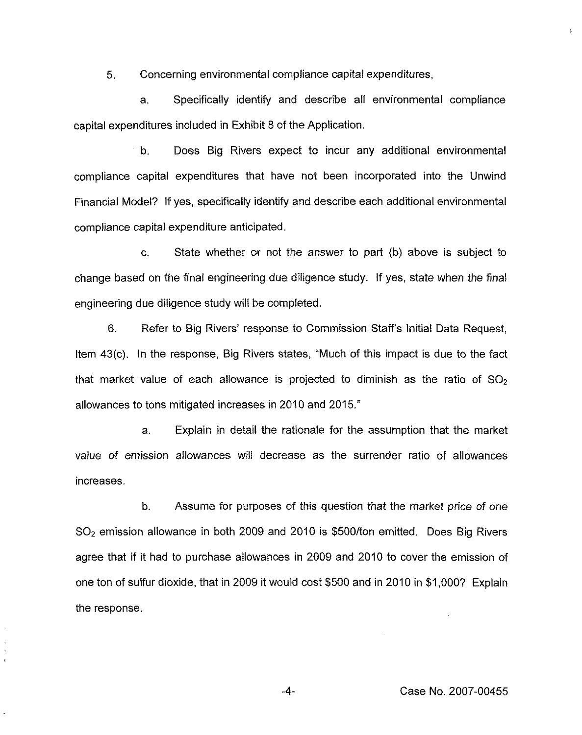5, Concerning environmental compliance capital expenditures,

a. Specifically identify and describe all environmental compliance capital expenditures included in Exhibit 8 of the Application.

b. Does Big Rivers expect to incur any additional environmental compliance capital expenditures that have not been incorporated into the Unwind Financial Model? If yes, specifically identify and describe each additional environmental compliance capital expenditure anticipated.

c. State whether or not the answer io part {b) above is subject to change based on the final engineering due diligence study. If yes, state when the final engineering due diligence study will be completed.

6. Refer to Big Rivers' response to Commission Staff's Initial Data Request, Item 43(c). In the response, Big Rivers states, "Much of this impact is due to the fact that market value of each allowance is projected to diminish as the ratio of  $SO_2$ allowances to tons mitigated increases in 2010 and 2015."

a. Explain in detail the rationale for the assumption that the market value of emission allowances wil! decrease as the surrender ratio of allowances increases.

b. Assume for purposes of this question that the market price of one SO<sub>2</sub> emission allowance in both 2009 and 2010 is \$500/ton emitted. Does Big Rivers agree that if it had to purchase allowances in 2009 and 2010 to cover the emission of one ton of sulfur dioxide, that in 2009 it wouid cost \$500 and in 2010 in \$1,000? Explain the response.

 $\frac{1}{4}$ 

 $-4-$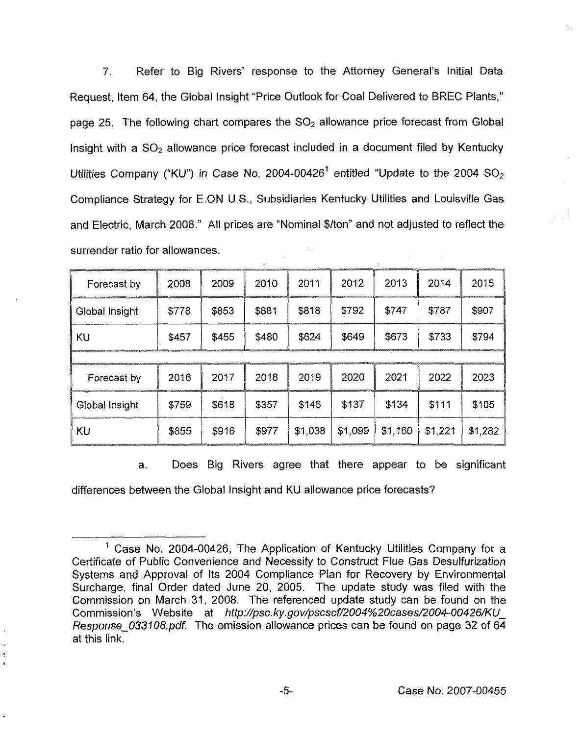7. Refer to Big Rivers' response to the Attorney General's Initial Data Request, Item 64, the Global insight "Price Outlook for Coal Delivered to BREC Plants," page 25. The following chart compares the  $SO<sub>2</sub>$  allowance price forecast from Global Insight with a  $SO<sub>2</sub>$  allowance price forecast included in a document filed by Kentucky Utilities Company ("KU") in Case No. 2004-00426<sup>1</sup> entitled "Update to the 2004  $SO_2$ Compliance Strategy for E.ON U.S., Subsidiaries Kentucky Utilities and Louisville Gas and Electric, March 2008." All prices are "Nominal \$/ton" and not adjusted to reflect the surrender ratio for allowances.

| Forecast by    | 2008  | 2009  | 2010  | 2011    | 2012    | 2013    | 2014    | 2015    |
|----------------|-------|-------|-------|---------|---------|---------|---------|---------|
| Global Insight | \$778 | \$853 | \$881 | \$818   | \$792   | \$747   | \$787   | \$907   |
| KU             | \$457 | \$455 | \$480 | \$624   | \$649   | \$673   | \$733   | \$794   |
|                |       |       |       |         |         |         |         |         |
| Forecast by    | 2016  | 2017  | 2018  | 2019    | 2020    | 2021    | 2022    | 2023    |
| Global Insight | \$759 | \$618 | \$357 | \$146   | \$137   | \$134   | \$111   | \$105   |
| KU             | \$855 | \$916 | \$977 | \$1.038 | \$1,099 | \$1,160 | \$1,221 | \$1,282 |

a. Does Big Rivers agree that there appear to be significant

differences between the Global Insight and KU allowance price forecasts?

<sup>&</sup>lt;sup>1</sup> Case No. 2004-00426, The Application of Kentucky Utilities Company for a Certificate of Public Convenience and Necessity to Construct Flue Gas Desuifurization Systems and Approval of Its 2004 Compliance Plan for Recovery by Environmental Surcharge, final Order dated June 20, 2005. The update study was filed with the Commission on March 31, 2008. The referenced update study can be found on the Commission's Website at http://psc.ky.gov/pscscf/2004%20cases/2004-00426/KU Response 033108.pdf. The emission allowance prices can be found on page 32 of 64 at this link,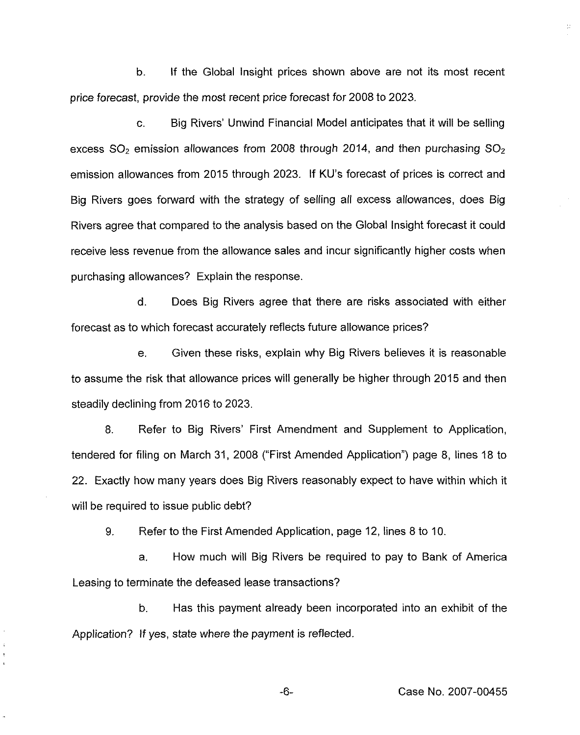b. If the Global insight prices shown above are not its most recent price forecast, provide the most recent price forecast for 2008 to 2023.

c. Big Rivers' Unwind Financial Model anticipates that it will be selling excess  $SO<sub>2</sub>$  emission allowances from 2008 through 2014, and then purchasing  $SO<sub>2</sub>$ emission allowances from 2015 through 2023. If KU's forecast of prices is correct and Big Rivers goes forward with the strategy of selling all excess allowances, does Big Rivers agree that compared to the analysis based on the Global Insight forecast it could receive less revenue from the allowance sales and incur significantly higher costs when purchasing allowances? Explain the response.

d. Does Big Rivers agree that there are risks associated with either forecast as to which forecast accurately reflects future allowance prices?

e. Given these risks, explain why Big Rivers believes it is reasonable to assume the risk that allowance prices will generally be higher through 2015 and then steadily declining from 2016 to 2023.

8. Refer to Big Rivers' First Amendment and Supplement to Application, tendered for filing on March 31, 2008 ("First Amended Application") page 8, lines 18 to 22. Exactly how many years does Big Rivers reasonably expect to have within which it will be required to issue public debt?

9. Refer to the First Amended Application, page 12, lines 8 to 10.

a. How much will Big Rivers be required to pay to Bank of America Leasing to terminate the defeased lease transactions?

b, Has this payment already been incorporated into an exhibit of the Application? If yes, state where the payment is reflected.

Case No. 2007-00455

長

 $-6-$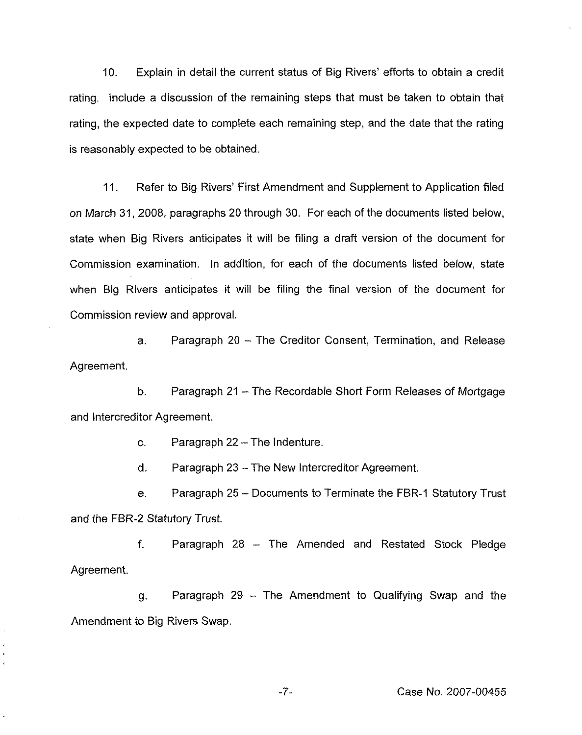10. Explain in detail the current status of Big Rivers' efforts to obtain a credit rating. Include a discussion of the remaining steps that must be taken to obtain that rating, the expected date to complete each remaining step, and the date that the rating is reasonably expected to be obtained.

11. Refer to Big Rivers' First Amendment and Supplement to Application filed on March 31, 2008, paragraphs 20 through 30. For each of the documents listed below, state when Big Rivers anticipates it will be filing a draft version of the document for Commission examination. In addition, for each of the documents listed below, state when Big Rivers anticipates it will be filing the final version of the document for Commission review and approval.

a. Paragraph 20 —The Creditor Consent, Termination, and Release Agreement.

b. Paragraph 21 —The Recordable Short Form Releases of Mortgage and Intercreditor Agreement.

c. Paragraph 22 —The Indenture.

d. Paragraph 23 —The New Intercreditor Agreement.

e. Paragraph 25 – Documents to Terminate the FBR-1 Statutory Trust and the FBR-2 Statutory Trust.

f. Paragraph 28 — The Amended and Restated Stock Pledge Agreement.

g. Paragraph 29 —The Amendment to Qualifying Swap and the Amendment to Big Rivers Swap.

-7- Case No. 2007-00455

 $\frac{1}{4} \omega$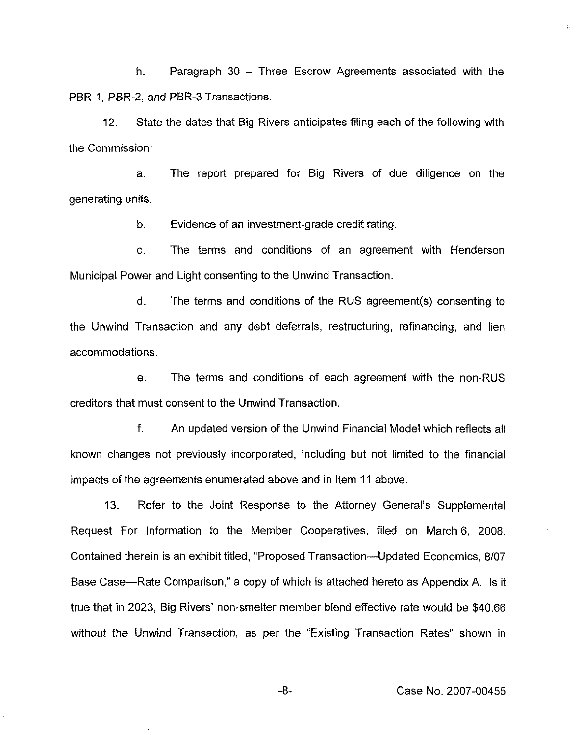h. Paragraph 30 —Three Escrow Agreements associated with the PBR-1, PBR-2, and PBR-3 Transactions.

12. State the dates that Big Rivers anticipates filing each of the following with the Commission:

a. The report prepared for Big Rivers of due diligence on the generating units.

b. Evidence of an investment-grade credit rating,

c. The terms and conditions of an agreement with Henderson Municipal Power and Light consenting to the Unwind Transaction.

d. The terms and conditions of the RUS agreement(s) consenting to the Unwind Transaction and any debt deferrals, restructuring, refinancing, and lien accommodations.

e. The terms and conditions of each agreement with the non-RUS creditors that must consent to the Unwind Transaction.

f. An updated version of the Unwind Financial Model which reflects all known changes not previously incorporated, including but not limited to the financial impacts of the agreements enumerated above and in Item 11 above.

13. Refer to the Joint Response to the Attorney General"s Supplemental Request For Information to the Member Cooperatives, filed on March 6, 2008. Contained therein is an exhibit titled, "Proposed Transaction —Updated Economics, 8/07 Base Case—Rate Comparison," <sup>a</sup> copy of which is attached hereto as Appendix A. Is it true that in 2023, Big Rivers' non-smelter member blend effective rate would be \$40.66 without the Unwind Transaction, as per the "Existing Transaction Rates" shown in

Y.

-8-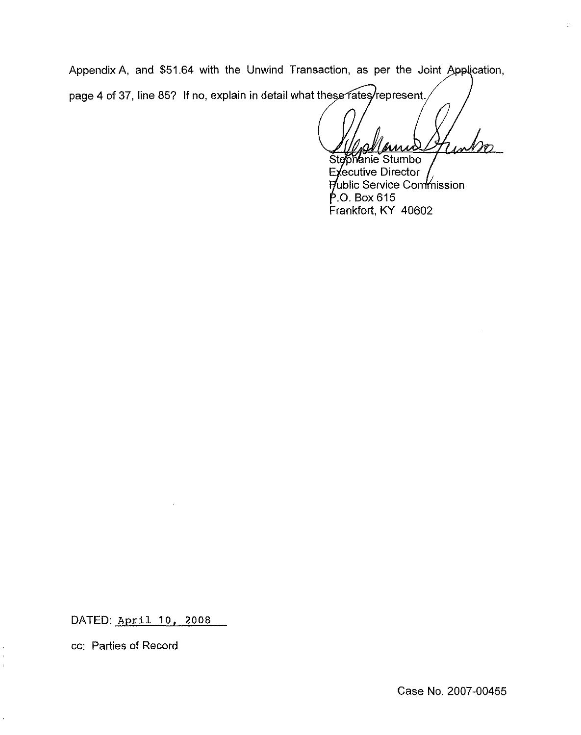Appendix A, and \$51.64 with the Unwind Transaction, as per the Joint Application page 4 of 37, line 85? If no, explain in detail what these rates/represent.

 $\mathcal{U}$ 

Stephanie Stumbo Executive Director Public Service Commission  $P.$ O. Box 615 Frankfort, KY 40602

DATED: April 10, 2008

cc: Parties of Record

 $\overline{1}$ 

 $\ddot{\phantom{a}}$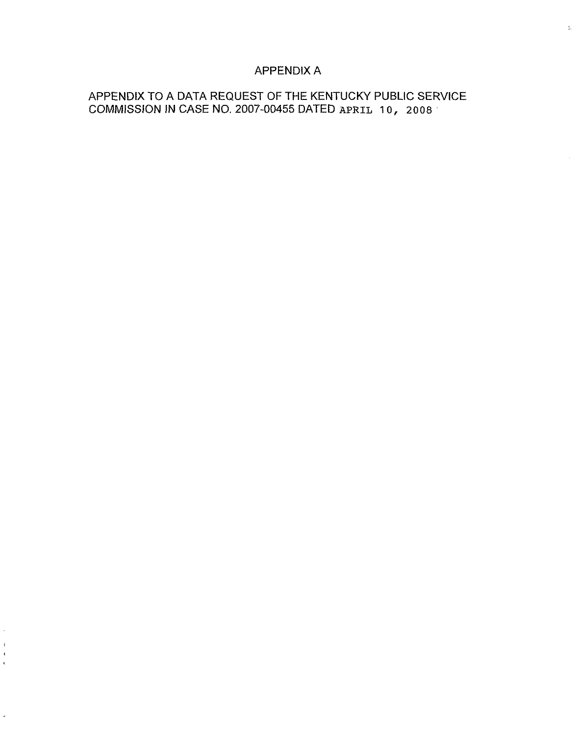## APPENDIX A

 $\frac{1}{16}$ 

## APPENDIX TO A DATA REQUEST OF THE KENTUCKY PUBLIC SERVICE COMMISSION IN CASE NO. 2007-00455 DATED APRIL 10, 2008

 $\mathfrak{i}$